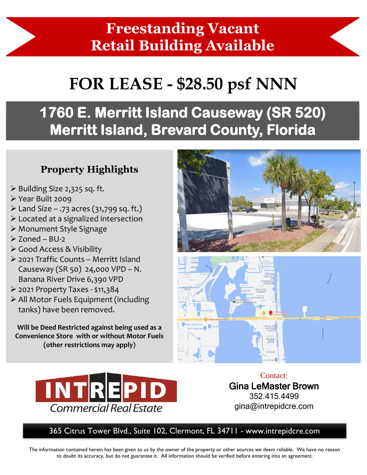## **Freestanding Vacant Retail Building Available**

# **FOR LEASE - \$28.50 psf NNN**

# **1760 E. Merritt Island Causeway (SR 520) Merritt Island, Brevard County, Florida**

#### **Property Highlights**

- ➢ Building Size 2,325 sq. ft.
- ➢ Year Built 2009
- $\triangleright$  Land Size .73 acres (31,799 sq. ft.)
- ➢ Located at a signalized intersection
- ➢ Monument Style Signage
- $\geq 7$ oned BU-2
- ➢ Good Access & Visibility
- ➢ 2021 Traffic Counts Merritt Island Causeway (SR 50) 24,000 VPD – N. Banana River Drive 6,390 VPD
- ➢ 2021 Property Taxes \$11,384
- ➢ All Motor Fuels Equipment (including tanks) have been removed.

**Will be Deed Restricted against being used as a Convenience Store with or without Motor Fuels (other restrictions may apply)** 







Contact: Gina LeMaster Brown 352.415.4499 gina@intrepidcre.com

365 Citrus Tower Blvd., Suite 102, Clermont, FL 34711 - www.intrepidcre.com

The information contained herein has been given to us by the owner of the property or other sources we deem reliable. We have no reason to doubt its accuracy, but do not guarantee it. All information should be verified before entering into an agreement.